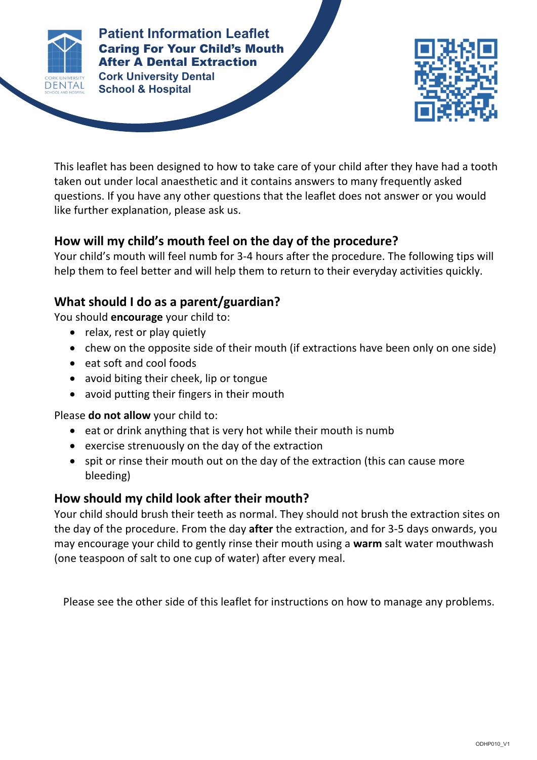

### **Cork University Dental Patient Information Leaflet** Caring For Your Child's Mouth After A Dental Extraction

**Patient Information Leaflet School & Hospital**



This leaflet has been designed to how to take care of your child after they have had a tooth taken out under local anaesthetic and it contains answers to many frequently asked questions. If you have any other questions that the leaflet does not answer or you would like further explanation, please ask us.

**CARING FOR YOUR CHILD'S MOUTH AFTER A DENTAL EXTRACTION**

# **How will my child's mouth feel on the day of the procedure?**

Your child's mouth will feel numb for 3-4 hours after the procedure. The following tips will help them to feel better and will help them to return to their everyday activities quickly.

# **What should I do as a parent/guardian?**

You should **encourage** your child to:

- relax, rest or play quietly
- chew on the opposite side of their mouth (if extractions have been only on one side)
- eat soft and cool foods
- avoid biting their cheek, lip or tongue
- avoid putting their fingers in their mouth

Please **do not allow** your child to:

- eat or drink anything that is very hot while their mouth is numb
- exercise strenuously on the day of the extraction
- spit or rinse their mouth out on the day of the extraction (this can cause more bleeding)

### **How should my child look after their mouth?**

Your child should brush their teeth as normal. They should not brush the extraction sites on the day of the procedure. From the day **after** the extraction, and for 3-5 days onwards, you may encourage your child to gently rinse their mouth using a **warm** salt water mouthwash (one teaspoon of salt to one cup of water) after every meal.

Please see the other side of this leaflet for instructions on how to manage any problems.